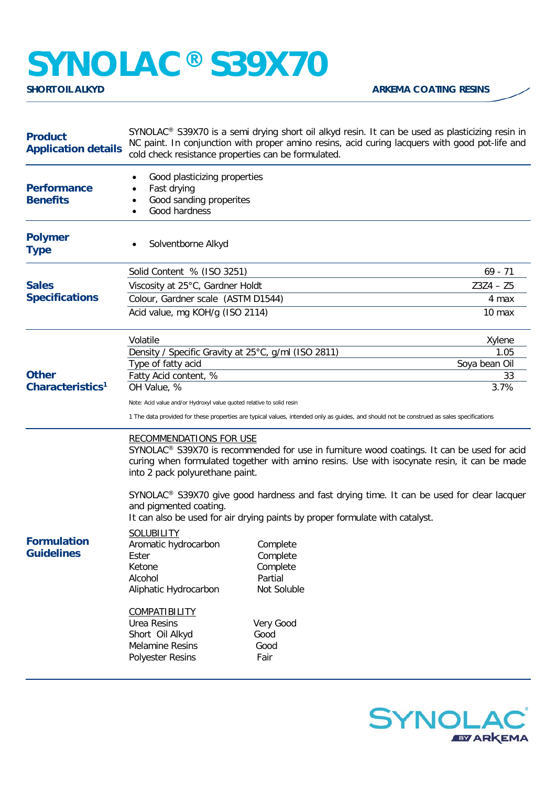## **SYNOLAC®** S39X70

| <b>Product</b><br><b>Application details</b> | SYNOLAC® S39X70 is a semi drying short oil alkyd resin. It can be used as plasticizing resin in<br>NC paint. In conjunction with proper amino resins, acid curing lacquers with good pot-life and<br>cold check resistance properties can be formulated.                                                                                                                                                                                                                                      |                                                                                                 |                   |  |
|----------------------------------------------|-----------------------------------------------------------------------------------------------------------------------------------------------------------------------------------------------------------------------------------------------------------------------------------------------------------------------------------------------------------------------------------------------------------------------------------------------------------------------------------------------|-------------------------------------------------------------------------------------------------|-------------------|--|
| <b>Performance</b><br><b>Benefits</b>        | Good plasticizing properties<br>Fast drying<br>Good sanding properites<br>$\bullet$<br>Good hardness<br>$\bullet$                                                                                                                                                                                                                                                                                                                                                                             |                                                                                                 |                   |  |
| <b>Polymer</b><br><b>Type</b>                | Solventborne Alkyd                                                                                                                                                                                                                                                                                                                                                                                                                                                                            |                                                                                                 |                   |  |
| <b>Sales</b><br><b>Specifications</b>        | Solid Content % (ISO 3251)                                                                                                                                                                                                                                                                                                                                                                                                                                                                    |                                                                                                 | $69 - 71$         |  |
|                                              | Viscosity at 25°C, Gardner Holdt                                                                                                                                                                                                                                                                                                                                                                                                                                                              |                                                                                                 | $Z3Z4 - Z5$       |  |
|                                              | Colour, Gardner scale (ASTM D1544)                                                                                                                                                                                                                                                                                                                                                                                                                                                            |                                                                                                 | 4 max             |  |
|                                              | Acid value, mg KOH/g (ISO 2114)                                                                                                                                                                                                                                                                                                                                                                                                                                                               |                                                                                                 | 10 <sub>max</sub> |  |
|                                              | Volatile                                                                                                                                                                                                                                                                                                                                                                                                                                                                                      |                                                                                                 | Xylene            |  |
|                                              | Density / Specific Gravity at 25°C, g/ml (ISO 2811)                                                                                                                                                                                                                                                                                                                                                                                                                                           |                                                                                                 | 1.05              |  |
|                                              | Type of fatty acid                                                                                                                                                                                                                                                                                                                                                                                                                                                                            |                                                                                                 | Soya bean Oil     |  |
| <b>Other</b><br>Characteristics <sup>1</sup> | Fatty Acid content, %<br>OH Value, %                                                                                                                                                                                                                                                                                                                                                                                                                                                          |                                                                                                 | 33<br>3.7%        |  |
|                                              |                                                                                                                                                                                                                                                                                                                                                                                                                                                                                               |                                                                                                 |                   |  |
|                                              | Note: Acid value and/or Hydroxyl value quoted relative to solid resin<br>1 The data provided for these properties are typical values, intended only as guides, and should not be construed as sales specifications                                                                                                                                                                                                                                                                            |                                                                                                 |                   |  |
| <b>Formulation</b><br><b>Guidelines</b>      | <b>RECOMMENDATIONS FOR USE</b><br>SYNOLAC <sup>®</sup> S39X70 is recommended for use in furniture wood coatings. It can be used for acid<br>curing when formulated together with amino resins. Use with isocynate resin, it can be made<br>into 2 pack polyurethane paint.<br>SYNOLAC <sup>®</sup> S39X70 give good hardness and fast drying time. It can be used for clear lacquer<br>and pigmented coating.<br>It can also be used for air drying paints by proper formulate with catalyst. |                                                                                                 |                   |  |
|                                              | <b>SOLUBILITY</b><br>Aromatic hydrocarbon<br>Ester<br>Ketone<br>Alcohol<br>Aliphatic Hydrocarbon<br><b>COMPATIBILITY</b><br><b>Urea Resins</b><br>Short Oil Alkyd<br><b>Melamine Resins</b><br><b>Polyester Resins</b>                                                                                                                                                                                                                                                                        | Complete<br>Complete<br>Complete<br>Partial<br>Not Soluble<br>Very Good<br>Good<br>Good<br>Fair |                   |  |